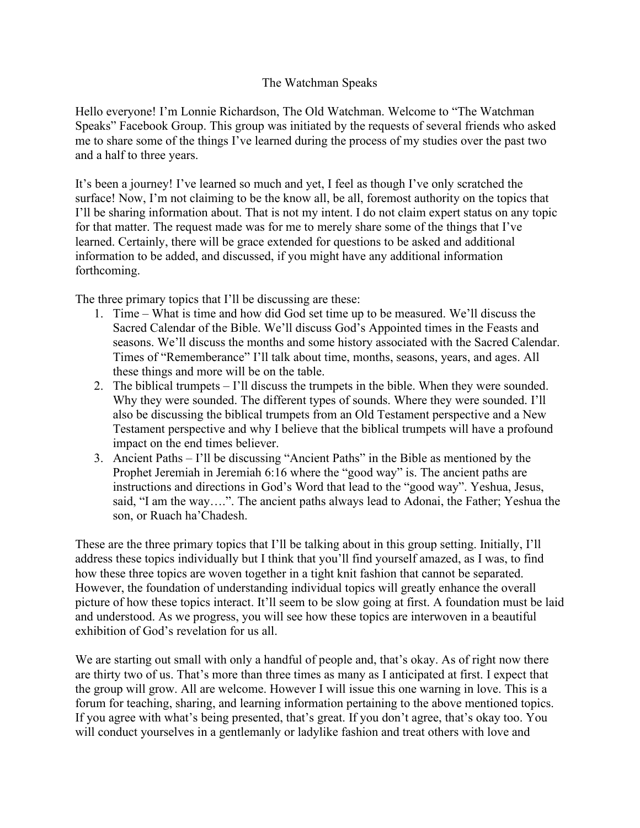## The Watchman Speaks

Hello everyone! I'm Lonnie Richardson, The Old Watchman. Welcome to "The Watchman Speaks" Facebook Group. This group was initiated by the requests of several friends who asked me to share some of the things I've learned during the process of my studies over the past two and a half to three years.

It's been a journey! I've learned so much and yet, I feel as though I've only scratched the surface! Now, I'm not claiming to be the know all, be all, foremost authority on the topics that I'll be sharing information about. That is not my intent. I do not claim expert status on any topic for that matter. The request made was for me to merely share some of the things that I've learned. Certainly, there will be grace extended for questions to be asked and additional information to be added, and discussed, if you might have any additional information forthcoming.

The three primary topics that I'll be discussing are these:

- 1. Time What is time and how did God set time up to be measured. We'll discuss the Sacred Calendar of the Bible. We'll discuss God's Appointed times in the Feasts and seasons. We'll discuss the months and some history associated with the Sacred Calendar. Times of "Rememberance" I'll talk about time, months, seasons, years, and ages. All these things and more will be on the table.
- 2. The biblical trumpets I'll discuss the trumpets in the bible. When they were sounded. Why they were sounded. The different types of sounds. Where they were sounded. I'll also be discussing the biblical trumpets from an Old Testament perspective and a New Testament perspective and why I believe that the biblical trumpets will have a profound impact on the end times believer.
- 3. Ancient Paths I'll be discussing "Ancient Paths" in the Bible as mentioned by the Prophet Jeremiah in Jeremiah 6:16 where the "good way" is. The ancient paths are instructions and directions in God's Word that lead to the "good way". Yeshua, Jesus, said, "I am the way….". The ancient paths always lead to Adonai, the Father; Yeshua the son, or Ruach ha'Chadesh.

These are the three primary topics that I'll be talking about in this group setting. Initially, I'll address these topics individually but I think that you'll find yourself amazed, as I was, to find how these three topics are woven together in a tight knit fashion that cannot be separated. However, the foundation of understanding individual topics will greatly enhance the overall picture of how these topics interact. It'll seem to be slow going at first. A foundation must be laid and understood. As we progress, you will see how these topics are interwoven in a beautiful exhibition of God's revelation for us all.

We are starting out small with only a handful of people and, that's okay. As of right now there are thirty two of us. That's more than three times as many as I anticipated at first. I expect that the group will grow. All are welcome. However I will issue this one warning in love. This is a forum for teaching, sharing, and learning information pertaining to the above mentioned topics. If you agree with what's being presented, that's great. If you don't agree, that's okay too. You will conduct yourselves in a gentlemanly or ladylike fashion and treat others with love and